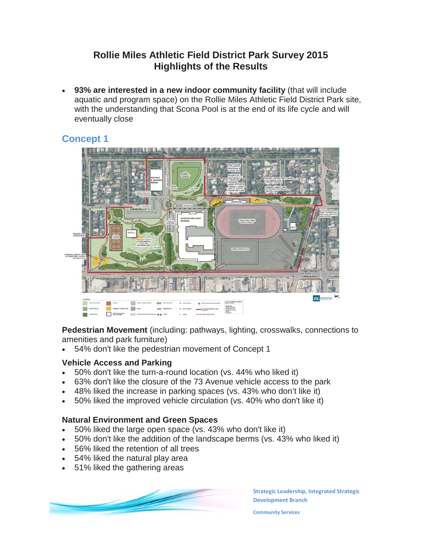# **Rollie Miles Athletic Field District Park Survey 2015 Highlights of the Results**

• **93% are interested in a new indoor community facility** (that will include aquatic and program space) on the Rollie Miles Athletic Field District Park site, with the understanding that Scona Pool is at the end of its life cycle and will eventually close

# **Concept 1**



**Pedestrian Movement** (including: pathways, lighting, crosswalks, connections to amenities and park furniture)

• 54% don't like the pedestrian movement of Concept 1

# **Vehicle Access and Parking**

- 50% don't like the turn-a-round location (vs. 44% who liked it)
- 63% don't like the closure of the 73 Avenue vehicle access to the park
- 48% liked the increase in parking spaces (vs. 43% who don't like it)
- 50% liked the improved vehicle circulation (vs. 40% who don't like it)

## **Natural Environment and Green Spaces**

- 50% liked the large open space (vs. 43% who don't like it)
- 50% don't like the addition of the landscape berms (vs. 43% who liked it)
- 56% liked the retention of all trees
- 54% liked the natural play area
- 51% liked the gathering areas



**Strategic Leadership, Integrated Strategic Development Branch**

**Community Services**